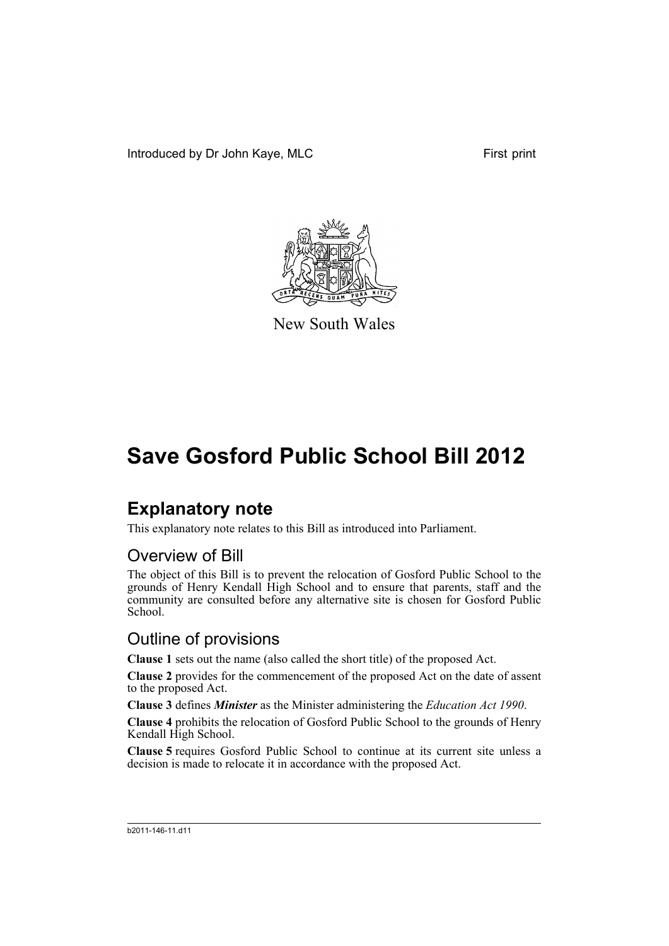Introduced by Dr John Kaye, MLC First print



New South Wales

# **Save Gosford Public School Bill 2012**

## **Explanatory note**

This explanatory note relates to this Bill as introduced into Parliament.

### Overview of Bill

The object of this Bill is to prevent the relocation of Gosford Public School to the grounds of Henry Kendall High School and to ensure that parents, staff and the community are consulted before any alternative site is chosen for Gosford Public School.

### Outline of provisions

**Clause 1** sets out the name (also called the short title) of the proposed Act.

**Clause 2** provides for the commencement of the proposed Act on the date of assent to the proposed Act.

**Clause 3** defines *Minister* as the Minister administering the *Education Act 1990*.

**Clause 4** prohibits the relocation of Gosford Public School to the grounds of Henry Kendall High School.

**Clause 5** requires Gosford Public School to continue at its current site unless a decision is made to relocate it in accordance with the proposed Act.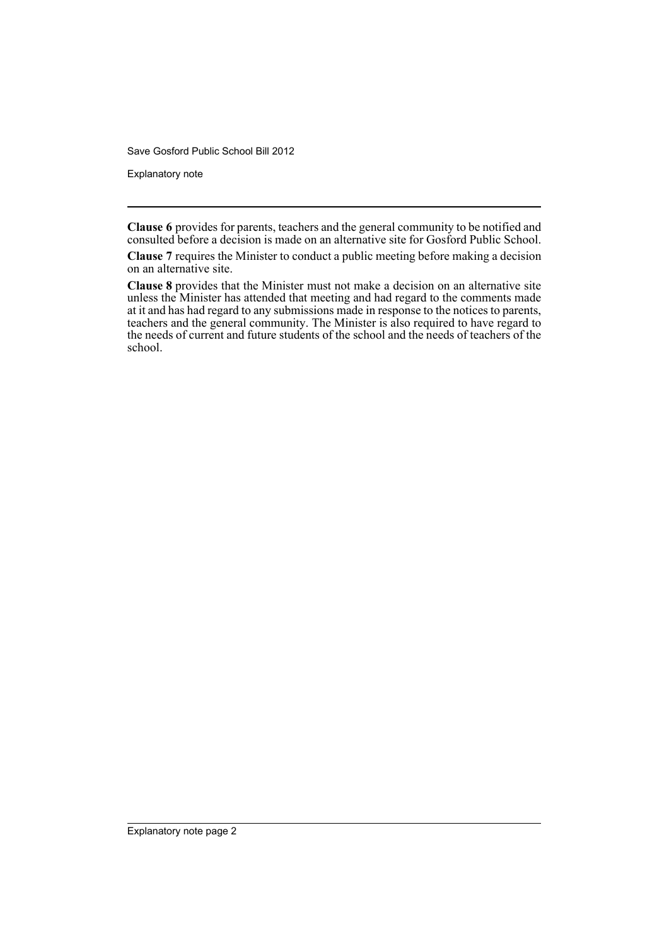Save Gosford Public School Bill 2012

Explanatory note

**Clause 6** provides for parents, teachers and the general community to be notified and consulted before a decision is made on an alternative site for Gosford Public School.

**Clause 7** requires the Minister to conduct a public meeting before making a decision on an alternative site.

**Clause 8** provides that the Minister must not make a decision on an alternative site unless the Minister has attended that meeting and had regard to the comments made at it and has had regard to any submissions made in response to the notices to parents, teachers and the general community. The Minister is also required to have regard to the needs of current and future students of the school and the needs of teachers of the school.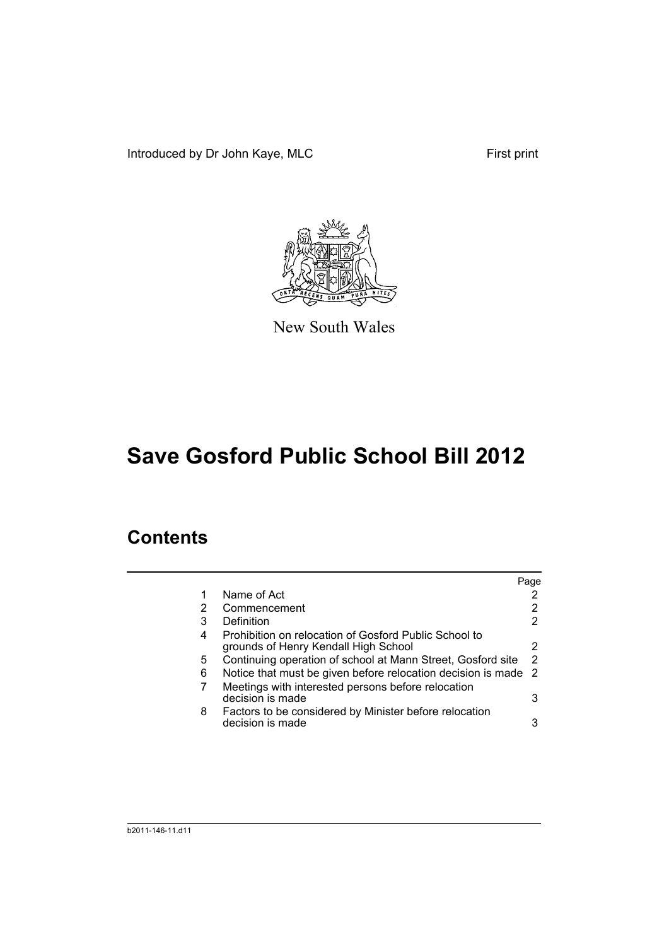Introduced by Dr John Kaye, MLC First print



New South Wales

# **Save Gosford Public School Bill 2012**

## **Contents**

|   |                                                                                               | Page |
|---|-----------------------------------------------------------------------------------------------|------|
| 1 | Name of Act                                                                                   |      |
| 2 | Commencement                                                                                  | 2    |
| 3 | Definition                                                                                    | 2    |
| 4 | Prohibition on relocation of Gosford Public School to<br>grounds of Henry Kendall High School | 2    |
| 5 | Continuing operation of school at Mann Street, Gosford site                                   | 2    |
| 6 | Notice that must be given before relocation decision is made 2                                |      |
| 7 | Meetings with interested persons before relocation<br>decision is made                        | 3    |
| 8 | Factors to be considered by Minister before relocation<br>decision is made                    | 3    |
|   |                                                                                               |      |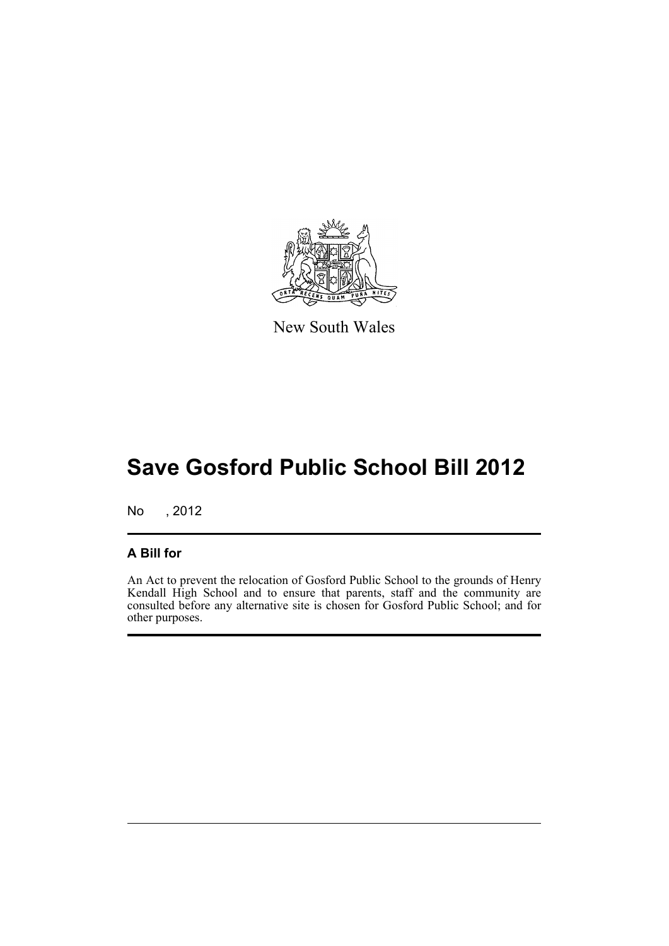

New South Wales

# **Save Gosford Public School Bill 2012**

No , 2012

#### **A Bill for**

An Act to prevent the relocation of Gosford Public School to the grounds of Henry Kendall High School and to ensure that parents, staff and the community are consulted before any alternative site is chosen for Gosford Public School; and for other purposes.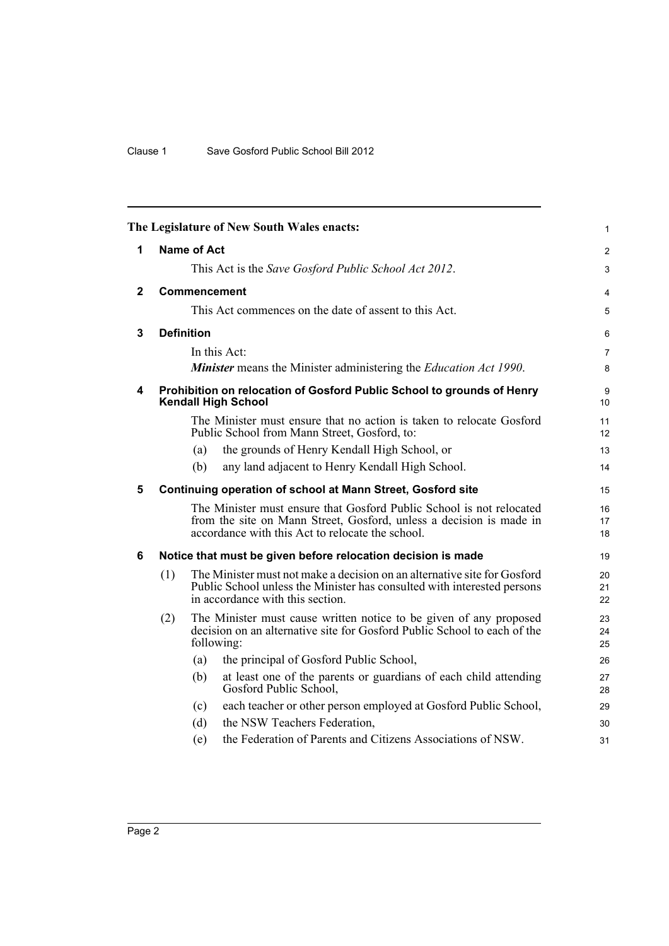<span id="page-5-5"></span><span id="page-5-4"></span><span id="page-5-3"></span><span id="page-5-2"></span><span id="page-5-1"></span><span id="page-5-0"></span>

|              |                                                                                                                                                                                                |                   | The Legislature of New South Wales enacts:                                                                                                                                                      | $\mathbf{1}$   |  |  |  |
|--------------|------------------------------------------------------------------------------------------------------------------------------------------------------------------------------------------------|-------------------|-------------------------------------------------------------------------------------------------------------------------------------------------------------------------------------------------|----------------|--|--|--|
| 1            | <b>Name of Act</b>                                                                                                                                                                             |                   |                                                                                                                                                                                                 |                |  |  |  |
|              |                                                                                                                                                                                                |                   | This Act is the Save Gosford Public School Act 2012.                                                                                                                                            | $\mathfrak{S}$ |  |  |  |
| $\mathbf{2}$ | Commencement                                                                                                                                                                                   |                   |                                                                                                                                                                                                 |                |  |  |  |
|              |                                                                                                                                                                                                |                   | This Act commences on the date of assent to this Act.                                                                                                                                           | 5              |  |  |  |
| 3            |                                                                                                                                                                                                | <b>Definition</b> |                                                                                                                                                                                                 | 6              |  |  |  |
|              |                                                                                                                                                                                                |                   | In this Act:                                                                                                                                                                                    | $\overline{7}$ |  |  |  |
|              |                                                                                                                                                                                                |                   | <b>Minister</b> means the Minister administering the <i>Education Act 1990</i> .                                                                                                                | 8              |  |  |  |
| 4            | Prohibition on relocation of Gosford Public School to grounds of Henry<br><b>Kendall High School</b>                                                                                           |                   |                                                                                                                                                                                                 |                |  |  |  |
|              |                                                                                                                                                                                                |                   | The Minister must ensure that no action is taken to relocate Gosford<br>Public School from Mann Street, Gosford, to:                                                                            | 11<br>12       |  |  |  |
|              |                                                                                                                                                                                                | (a)               | the grounds of Henry Kendall High School, or                                                                                                                                                    | 13             |  |  |  |
|              |                                                                                                                                                                                                | (b)               | any land adjacent to Henry Kendall High School.                                                                                                                                                 | 14             |  |  |  |
| 5            | <b>Continuing operation of school at Mann Street, Gosford site</b>                                                                                                                             |                   |                                                                                                                                                                                                 |                |  |  |  |
|              |                                                                                                                                                                                                |                   | The Minister must ensure that Gosford Public School is not relocated<br>from the site on Mann Street, Gosford, unless a decision is made in<br>accordance with this Act to relocate the school. | 16<br>17<br>18 |  |  |  |
| 6            | Notice that must be given before relocation decision is made                                                                                                                                   |                   |                                                                                                                                                                                                 |                |  |  |  |
|              | The Minister must not make a decision on an alternative site for Gosford<br>(1)<br>Public School unless the Minister has consulted with interested persons<br>in accordance with this section. |                   | 20<br>21<br>22                                                                                                                                                                                  |                |  |  |  |
|              | (2)                                                                                                                                                                                            |                   | The Minister must cause written notice to be given of any proposed<br>decision on an alternative site for Gosford Public School to each of the<br>following:                                    | 23<br>24<br>25 |  |  |  |
|              |                                                                                                                                                                                                | (a)               | the principal of Gosford Public School,                                                                                                                                                         | 26             |  |  |  |
|              |                                                                                                                                                                                                | (b)               | at least one of the parents or guardians of each child attending<br>Gosford Public School,                                                                                                      | 27<br>28       |  |  |  |
|              |                                                                                                                                                                                                | (c)               | each teacher or other person employed at Gosford Public School,                                                                                                                                 | 29             |  |  |  |
|              |                                                                                                                                                                                                | (d)               | the NSW Teachers Federation,                                                                                                                                                                    | 30             |  |  |  |
|              |                                                                                                                                                                                                | (e)               | the Federation of Parents and Citizens Associations of NSW.                                                                                                                                     | 31             |  |  |  |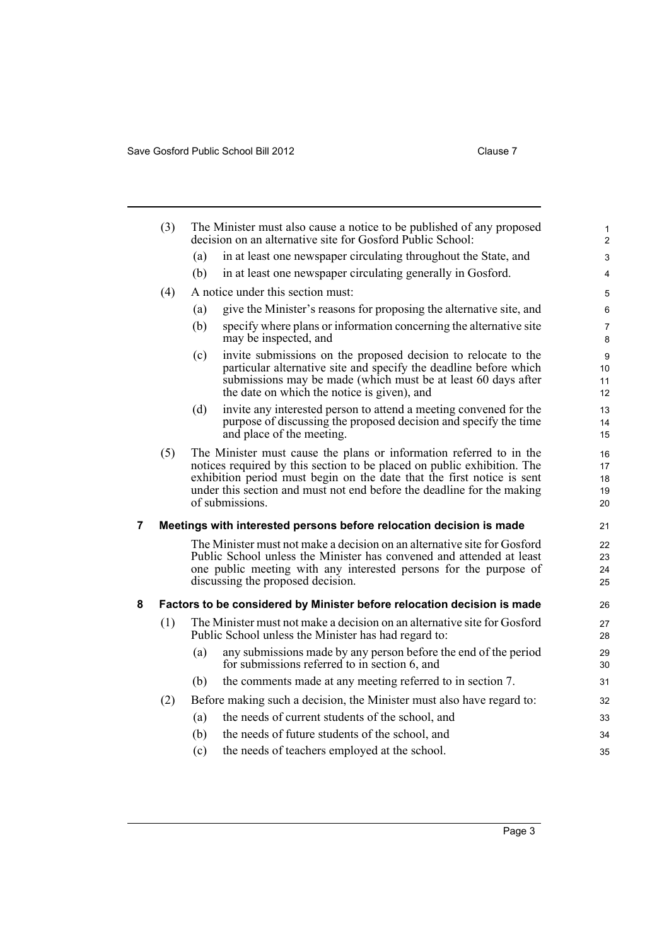<span id="page-6-1"></span><span id="page-6-0"></span>

|   | (3)                                                                 | The Minister must also cause a notice to be published of any proposed<br>decision on an alternative site for Gosford Public School:                                                                                                                                                                                   |                                                                                                                                                                                                                                                     |                     |  |  |  |  |
|---|---------------------------------------------------------------------|-----------------------------------------------------------------------------------------------------------------------------------------------------------------------------------------------------------------------------------------------------------------------------------------------------------------------|-----------------------------------------------------------------------------------------------------------------------------------------------------------------------------------------------------------------------------------------------------|---------------------|--|--|--|--|
|   |                                                                     | (a)                                                                                                                                                                                                                                                                                                                   | in at least one newspaper circulating throughout the State, and                                                                                                                                                                                     | 3                   |  |  |  |  |
|   |                                                                     | (b)                                                                                                                                                                                                                                                                                                                   | in at least one newspaper circulating generally in Gosford.                                                                                                                                                                                         | $\overline{4}$      |  |  |  |  |
|   | (4)                                                                 |                                                                                                                                                                                                                                                                                                                       | A notice under this section must:                                                                                                                                                                                                                   | 5                   |  |  |  |  |
|   |                                                                     | (a)                                                                                                                                                                                                                                                                                                                   | give the Minister's reasons for proposing the alternative site, and                                                                                                                                                                                 | 6                   |  |  |  |  |
|   |                                                                     | (b)                                                                                                                                                                                                                                                                                                                   | specify where plans or information concerning the alternative site<br>may be inspected, and                                                                                                                                                         | $\overline{7}$<br>8 |  |  |  |  |
|   |                                                                     | (c)                                                                                                                                                                                                                                                                                                                   | invite submissions on the proposed decision to relocate to the<br>particular alternative site and specify the deadline before which<br>submissions may be made (which must be at least 60 days after<br>the date on which the notice is given), and | 9<br>10<br>11<br>12 |  |  |  |  |
|   |                                                                     | (d)                                                                                                                                                                                                                                                                                                                   | invite any interested person to attend a meeting convened for the<br>purpose of discussing the proposed decision and specify the time<br>and place of the meeting.                                                                                  | 13<br>14<br>15      |  |  |  |  |
|   | (5)                                                                 | The Minister must cause the plans or information referred to in the<br>notices required by this section to be placed on public exhibition. The<br>exhibition period must begin on the date that the first notice is sent<br>under this section and must not end before the deadline for the making<br>of submissions. |                                                                                                                                                                                                                                                     |                     |  |  |  |  |
| 7 | Meetings with interested persons before relocation decision is made |                                                                                                                                                                                                                                                                                                                       |                                                                                                                                                                                                                                                     |                     |  |  |  |  |
|   |                                                                     | The Minister must not make a decision on an alternative site for Gosford<br>Public School unless the Minister has convened and attended at least<br>one public meeting with any interested persons for the purpose of<br>discussing the proposed decision.                                                            |                                                                                                                                                                                                                                                     |                     |  |  |  |  |
| 8 |                                                                     |                                                                                                                                                                                                                                                                                                                       | Factors to be considered by Minister before relocation decision is made                                                                                                                                                                             | 26                  |  |  |  |  |
|   | (1)                                                                 | The Minister must not make a decision on an alternative site for Gosford<br>Public School unless the Minister has had regard to:                                                                                                                                                                                      |                                                                                                                                                                                                                                                     |                     |  |  |  |  |
|   |                                                                     | (a)                                                                                                                                                                                                                                                                                                                   | any submissions made by any person before the end of the period<br>for submissions referred to in section 6, and                                                                                                                                    | 29<br>30            |  |  |  |  |
|   |                                                                     | (b)                                                                                                                                                                                                                                                                                                                   | the comments made at any meeting referred to in section 7.                                                                                                                                                                                          | 31                  |  |  |  |  |
|   | (2)                                                                 | Before making such a decision, the Minister must also have regard to:                                                                                                                                                                                                                                                 |                                                                                                                                                                                                                                                     |                     |  |  |  |  |
|   |                                                                     | (a)                                                                                                                                                                                                                                                                                                                   | the needs of current students of the school, and                                                                                                                                                                                                    | 33                  |  |  |  |  |
|   |                                                                     | (b)                                                                                                                                                                                                                                                                                                                   | the needs of future students of the school, and                                                                                                                                                                                                     | 34                  |  |  |  |  |
|   |                                                                     | (c)                                                                                                                                                                                                                                                                                                                   | the needs of teachers employed at the school.                                                                                                                                                                                                       | 35                  |  |  |  |  |